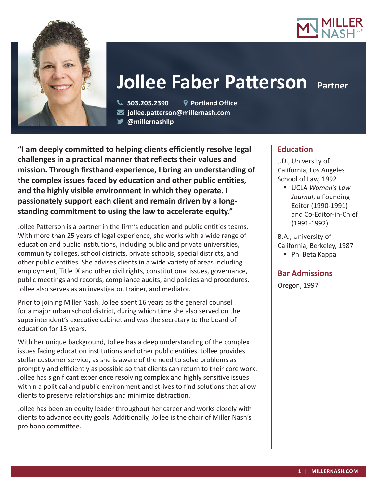



# **Jollee Faber Patterson** Partner

 **503.205.2390 Portland Office jollee.patterson@millernash.com** 

**@millernashllp** 

**"I am deeply committed to helping clients efficiently resolve legal challenges in a practical manner that reflects their values and mission. Through firsthand experience, I bring an understanding of the complex issues faced by education and other public entities, and the highly visible environment in which they operate. I passionately support each client and remain driven by a longstanding commitment to using the law to accelerate equity."**

Jollee Patterson is a partner in the firm's education and public entities teams. With more than 25 years of legal experience, she works with a wide range of education and public institutions, including public and private universities, community colleges, school districts, private schools, special districts, and other public entities. She advises clients in a wide variety of areas including employment, Title IX and other civil rights, constitutional issues, governance, public meetings and records, compliance audits, and policies and procedures. Jollee also serves as an investigator, trainer, and mediator.

Prior to joining Miller Nash, Jollee spent 16 years as the general counsel for a major urban school district, during which time she also served on the superintendent's executive cabinet and was the secretary to the board of education for 13 years.

With her unique background, Jollee has a deep understanding of the complex issues facing education institutions and other public entities. Jollee provides stellar customer service, as she is aware of the need to solve problems as promptly and efficiently as possible so that clients can return to their core work. Jollee has significant experience resolving complex and highly sensitive issues within a political and public environment and strives to find solutions that allow clients to preserve relationships and minimize distraction.

Jollee has been an equity leader throughout her career and works closely with clients to advance equity goals. Additionally, Jollee is the chair of Miller Nash's pro bono committee.

# **Education**

J.D., University of California, Los Angeles School of Law, 1992

 UCLA *Women's Law Journal*, a Founding Editor (1990-1991) and Co-Editor-in-Chief (1991-1992)

B.A., University of California, Berkeley, 1987 ■ Phi Beta Kappa

# **Bar Admissions**

Oregon, 1997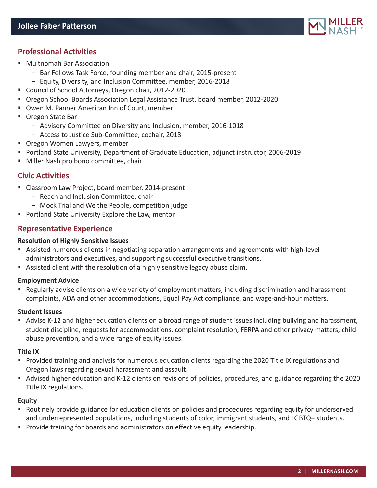# **Professional Activities**

- Multnomah Bar Association
	- Bar Fellows Task Force, founding member and chair, 2015-present
	- Equity, Diversity, and Inclusion Committee, member, 2016-2018
- Council of School Attorneys, Oregon chair, 2012-2020
- Oregon School Boards Association Legal Assistance Trust, board member, 2012-2020
- Owen M. Panner American Inn of Court, member
- Oregon State Bar
	- Advisory Committee on Diversity and Inclusion, member, 2016-1018
	- Access to Justice Sub-Committee, cochair, 2018
- Oregon Women Lawyers, member
- Portland State University, Department of Graduate Education, adjunct instructor, 2006-2019
- Miller Nash pro bono committee, chair

## **Civic Activities**

- Classroom Law Project, board member, 2014-present
	- Reach and Inclusion Committee, chair
	- Mock Trial and We the People, competition judge
- **Portland State University Explore the Law, mentor**

## **Representative Experience**

#### **Resolution of Highly Sensitive Issues**

- Assisted numerous clients in negotiating separation arrangements and agreements with high-level administrators and executives, and supporting successful executive transitions.
- Assisted client with the resolution of a highly sensitive legacy abuse claim.

## **Employment Advice**

 Regularly advise clients on a wide variety of employment matters, including discrimination and harassment complaints, ADA and other accommodations, Equal Pay Act compliance, and wage-and-hour matters.

#### **Student Issues**

Advise K-12 and higher education clients on a broad range of student issues including bullying and harassment, student discipline, requests for accommodations, complaint resolution, FERPA and other privacy matters, child abuse prevention, and a wide range of equity issues.

#### **Title IX**

- Provided training and analysis for numerous education clients regarding the 2020 Title IX regulations and Oregon laws regarding sexual harassment and assault.
- Advised higher education and K-12 clients on revisions of policies, procedures, and guidance regarding the 2020 Title IX regulations.

## **Equity**

- Routinely provide guidance for education clients on policies and procedures regarding equity for underserved and underrepresented populations, including students of color, immigrant students, and LGBTQ+ students.
- **Provide training for boards and administrators on effective equity leadership.**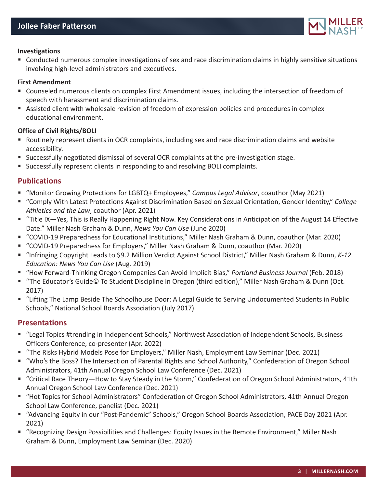

#### **Investigations**

 Conducted numerous complex investigations of sex and race discrimination claims in highly sensitive situations involving high-level administrators and executives.

#### **First Amendment**

- Counseled numerous clients on complex First Amendment issues, including the intersection of freedom of speech with harassment and discrimination claims.
- Assisted client with wholesale revision of freedom of expression policies and procedures in complex educational environment.

#### **Office of Civil Rights/BOLI**

- Routinely represent clients in OCR complaints, including sex and race discrimination claims and website accessibility.
- Successfully negotiated dismissal of several OCR complaints at the pre-investigation stage.
- Successfully represent clients in responding to and resolving BOLI complaints.

## **Publications**

- "Monitor Growing Protections for LGBTQ+ Employees," *Campus Legal Advisor*, coauthor (May 2021)
- "Comply With Latest Protections Against Discrimination Based on Sexual Orientation, Gender Identity," *College Athletics and the Law*, coauthor (Apr. 2021)
- "Title IX—Yes, This is Really Happening Right Now. Key Considerations in Anticipation of the August 14 Effective Date." Miller Nash Graham & Dunn, *News You Can Use* (June 2020)
- "COVID-19 Preparedness for Educational Institutions," Miller Nash Graham & Dunn, coauthor (Mar. 2020)
- "COVID-19 Preparedness for Employers," Miller Nash Graham & Dunn, coauthor (Mar. 2020)
- "Infringing Copyright Leads to \$9.2 Million Verdict Against School District," Miller Nash Graham & Dunn, *K-12 Education: News You Can Use* (Aug. 2019)
- "How Forward-Thinking Oregon Companies Can Avoid Implicit Bias," *Portland Business Journal* (Feb. 2018)
- "The Educator's Guide© To Student Discipline in Oregon (third edition)," Miller Nash Graham & Dunn (Oct. 2017)
- "Lifting The Lamp Beside The Schoolhouse Door: A Legal Guide to Serving Undocumented Students in Public Schools," National School Boards Association (July 2017)

## **Presentations**

- "Legal Topics #trending in Independent Schools," Northwest Association of Independent Schools, Business Officers Conference, co-presenter (Apr. 2022)
- "The Risks Hybrid Models Pose for Employers," Miller Nash, Employment Law Seminar (Dec. 2021)
- "Who's the Boss? The Intersection of Parental Rights and School Authority," Confederation of Oregon School Administrators, 41th Annual Oregon School Law Conference (Dec. 2021)
- "Critical Race Theory-How to Stay Steady in the Storm," Confederation of Oregon School Administrators, 41th Annual Oregon School Law Conference (Dec. 2021)
- "Hot Topics for School Administrators" Confederation of Oregon School Administrators, 41th Annual Oregon School Law Conference, panelist (Dec. 2021)
- "Advancing Equity in our "Post-Pandemic" Schools," Oregon School Boards Association, PACE Day 2021 (Apr. 2021)
- "Recognizing Design Possibilities and Challenges: Equity Issues in the Remote Environment," Miller Nash Graham & Dunn, Employment Law Seminar (Dec. 2020)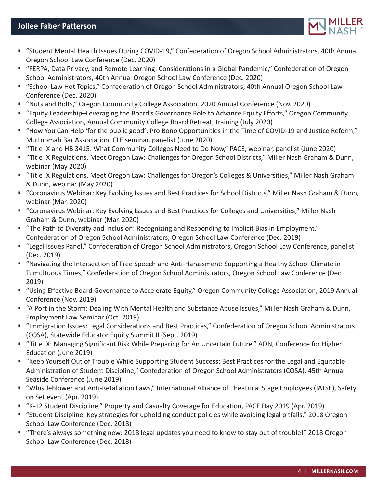## **Jollee Faber Patterson**



- "Student Mental Health Issues During COVID-19," Confederation of Oregon School Administrators, 40th Annual Oregon School Law Conference (Dec. 2020)
- "FERPA, Data Privacy, and Remote Learning: Considerations in a Global Pandemic," Confederation of Oregon School Administrators, 40th Annual Oregon School Law Conference (Dec. 2020)
- "School Law Hot Topics," Confederation of Oregon School Administrators, 40th Annual Oregon School Law Conference (Dec. 2020)
- "Nuts and Bolts," Oregon Community College Association, 2020 Annual Conference (Nov. 2020)
- "Equity Leadership–Leveraging the Board's Governance Role to Advance Equity Efforts," Oregon Community College Association, Annual Community College Board Retreat, training (July 2020)
- "How You Can Help 'for the public good': Pro Bono Opportunities in the Time of COVID-19 and Justice Reform," Multnomah Bar Association, CLE seminar, panelist (June 2020)
- "Title IX and HB 3415: What Community Colleges Need to Do Now," PACE, webinar, panelist (June 2020)
- "Title IX Regulations, Meet Oregon Law: Challenges for Oregon School Districts," Miller Nash Graham & Dunn, webinar (May 2020)
- "Title IX Regulations, Meet Oregon Law: Challenges for Oregon's Colleges & Universities," Miller Nash Graham & Dunn, webinar (May 2020)
- "Coronavirus Webinar: Key Evolving Issues and Best Practices for School Districts," Miller Nash Graham & Dunn, webinar (Mar. 2020)
- "Coronavirus Webinar: Key Evolving Issues and Best Practices for Colleges and Universities," Miller Nash Graham & Dunn, webinar (Mar. 2020)
- "The Path to Diversity and Inclusion: Recognizing and Responding to Implicit Bias in Employment," Confederation of Oregon School Administrators, Oregon School Law Conference (Dec. 2019)
- "Legal Issues Panel," Confederation of Oregon School Administrators, Oregon School Law Conference, panelist (Dec. 2019)
- "Navigating the Intersection of Free Speech and Anti-Harassment: Supporting a Healthy School Climate in Tumultuous Times," Confederation of Oregon School Administrators, Oregon School Law Conference (Dec. 2019)
- "Using Effective Board Governance to Accelerate Equity," Oregon Community College Association, 2019 Annual Conference (Nov. 2019)
- "A Port in the Storm: Dealing With Mental Health and Substance Abuse Issues," Miller Nash Graham & Dunn, Employment Law Seminar (Oct. 2019)
- "Immigration Issues: Legal Considerations and Best Practices," Confederation of Oregon School Administrators (COSA), Statewide Educator Equity Summit II (Sept. 2019)
- "Title IX: Managing Significant Risk While Preparing for An Uncertain Future," AON, Conference for Higher Education (June 2019)
- "Keep Yourself Out of Trouble While Supporting Student Success: Best Practices for the Legal and Equitable Administration of Student Discipline," Confederation of Oregon School Administrators (COSA), 45th Annual Seaside Conference (June 2019)
- "Whistleblower and Anti-Retaliation Laws," International Alliance of Theatrical Stage Employees (IATSE), Safety on Set event (Apr. 2019)
- "K-12 Student Discipline," Property and Casualty Coverage for Education, PACE Day 2019 (Apr. 2019)
- "Student Discipline: Key strategies for upholding conduct policies while avoiding legal pitfalls," 2018 Oregon School Law Conference (Dec. 2018)
- "There's always something new: 2018 legal updates you need to know to stay out of trouble!" 2018 Oregon School Law Conference (Dec. 2018)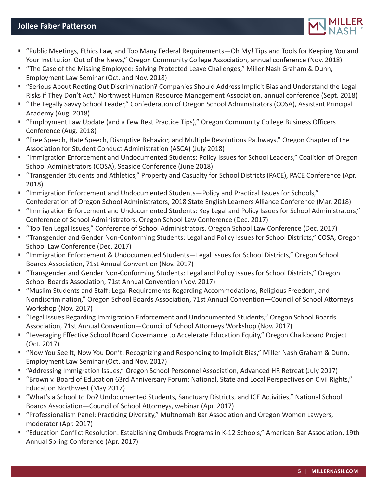## **Jollee Faber Patterson**



- "Public Meetings, Ethics Law, and Too Many Federal Requirements—Oh My! Tips and Tools for Keeping You and Your Institution Out of the News," Oregon Community College Association, annual conference (Nov. 2018)
- "The Case of the Missing Employee: Solving Protected Leave Challenges," Miller Nash Graham & Dunn, Employment Law Seminar (Oct. and Nov. 2018)
- "Serious About Rooting Out Discrimination? Companies Should Address Implicit Bias and Understand the Legal Risks if They Don't Act," Northwest Human Resource Management Association, annual conference (Sept. 2018)
- "The Legally Savvy School Leader," Confederation of Oregon School Administrators (COSA), Assistant Principal Academy (Aug. 2018)
- "Employment Law Update (and a Few Best Practice Tips)," Oregon Community College Business Officers Conference (Aug. 2018)
- "Free Speech, Hate Speech, Disruptive Behavior, and Multiple Resolutions Pathways," Oregon Chapter of the Association for Student Conduct Administration (ASCA) (July 2018)
- "Immigration Enforcement and Undocumented Students: Policy Issues for School Leaders," Coalition of Oregon School Administrators (COSA), Seaside Conference (June 2018)
- "Transgender Students and Athletics," Property and Casualty for School Districts (PACE), PACE Conference (Apr. 2018)
- "Immigration Enforcement and Undocumented Students—Policy and Practical Issues for Schools," Confederation of Oregon School Administrators, 2018 State English Learners Alliance Conference (Mar. 2018)
- "Immigration Enforcement and Undocumented Students: Key Legal and Policy Issues for School Administrators," Conference of School Administrators, Oregon School Law Conference (Dec. 2017)
- "Top Ten Legal Issues," Conference of School Administrators, Oregon School Law Conference (Dec. 2017)
- "Transgender and Gender Non-Conforming Students: Legal and Policy Issues for School Districts," COSA, Oregon School Law Conference (Dec. 2017)
- "Immigration Enforcement & Undocumented Students—Legal Issues for School Districts," Oregon School Boards Association, 71st Annual Convention (Nov. 2017)
- "Transgender and Gender Non-Conforming Students: Legal and Policy Issues for School Districts," Oregon School Boards Association, 71st Annual Convention (Nov. 2017)
- "Muslim Students and Staff: Legal Requirements Regarding Accommodations, Religious Freedom, and Nondiscrimination," Oregon School Boards Association, 71st Annual Convention—Council of School Attorneys Workshop (Nov. 2017)
- "Legal Issues Regarding Immigration Enforcement and Undocumented Students," Oregon School Boards Association, 71st Annual Convention—Council of School Attorneys Workshop (Nov. 2017)
- "Leveraging Effective School Board Governance to Accelerate Education Equity," Oregon Chalkboard Project (Oct. 2017)
- "Now You See It, Now You Don't: Recognizing and Responding to Implicit Bias," Miller Nash Graham & Dunn, Employment Law Seminar (Oct. and Nov. 2017)
- "Addressing Immigration Issues," Oregon School Personnel Association, Advanced HR Retreat (July 2017)
- "Brown v. Board of Education 63rd Anniversary Forum: National, State and Local Perspectives on Civil Rights," Education Northwest (May 2017)
- "What's a School to Do? Undocumented Students, Sanctuary Districts, and ICE Activities," National School Boards Association—Council of School Attorneys, webinar (Apr. 2017)
- "Professionalism Panel: Practicing Diversity," Multnomah Bar Association and Oregon Women Lawyers, moderator (Apr. 2017)
- "Education Conflict Resolution: Establishing Ombuds Programs in K-12 Schools," American Bar Association, 19th Annual Spring Conference (Apr. 2017)